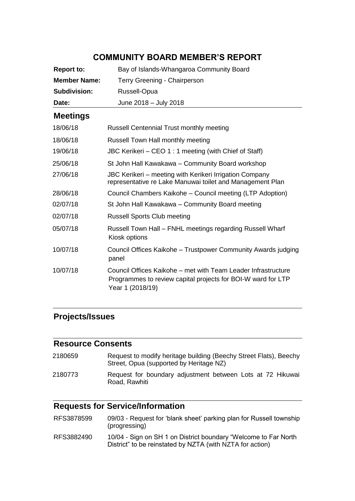# **COMMUNITY BOARD MEMBER'S REPORT**

| <b>Report to:</b>   | Bay of Islands-Whangaroa Community Board                                                                                                          |
|---------------------|---------------------------------------------------------------------------------------------------------------------------------------------------|
| <b>Member Name:</b> | Terry Greening - Chairperson                                                                                                                      |
| <b>Subdivision:</b> | Russell-Opua                                                                                                                                      |
| Date:               | June 2018 - July 2018                                                                                                                             |
| <b>Meetings</b>     |                                                                                                                                                   |
| 18/06/18            | <b>Russell Centennial Trust monthly meeting</b>                                                                                                   |
| 18/06/18            | Russell Town Hall monthly meeting                                                                                                                 |
| 19/06/18            | JBC Kerikeri - CEO 1 : 1 meeting (with Chief of Staff)                                                                                            |
| 25/06/18            | St John Hall Kawakawa - Community Board workshop                                                                                                  |
| 27/06/18            | JBC Kerikeri – meeting with Kerikeri Irrigation Company<br>representative re Lake Manuwai toilet and Management Plan                              |
| 28/06/18            | Council Chambers Kaikohe - Council meeting (LTP Adoption)                                                                                         |
| 02/07/18            | St John Hall Kawakawa - Community Board meeting                                                                                                   |
| 02/07/18            | <b>Russell Sports Club meeting</b>                                                                                                                |
| 05/07/18            | Russell Town Hall - FNHL meetings regarding Russell Wharf<br>Kiosk options                                                                        |
| 10/07/18            | Council Offices Kaikohe - Trustpower Community Awards judging<br>panel                                                                            |
| 10/07/18            | Council Offices Kaikohe – met with Team Leader Infrastructure<br>Programmes to review capital projects for BOI-W ward for LTP<br>Year 1 (2018/19) |

## **Projects/Issues**

### **Resource Consents**

| 2180659 | Request to modify heritage building (Beechy Street Flats), Beechy<br>Street, Opua (supported by Heritage NZ) |
|---------|--------------------------------------------------------------------------------------------------------------|
| 2180773 | Request for boundary adjustment between Lots at 72 Hikuwai<br>Road, Rawhiti                                  |

# **Requests for Service/Information**

| RFS3878599 | 09/03 - Request for 'blank sheet' parking plan for Russell township |
|------------|---------------------------------------------------------------------|
|            | (progressing)                                                       |
| DEC2002400 | 10/04 Cian on CU 1 on Dictrict boundary "Moloomo to Ear North       |

RFS3882490 10/04 - Sign on SH 1 on District boundary "Welcome to Far North District" to be reinstated by NZTA (with NZTA for action)